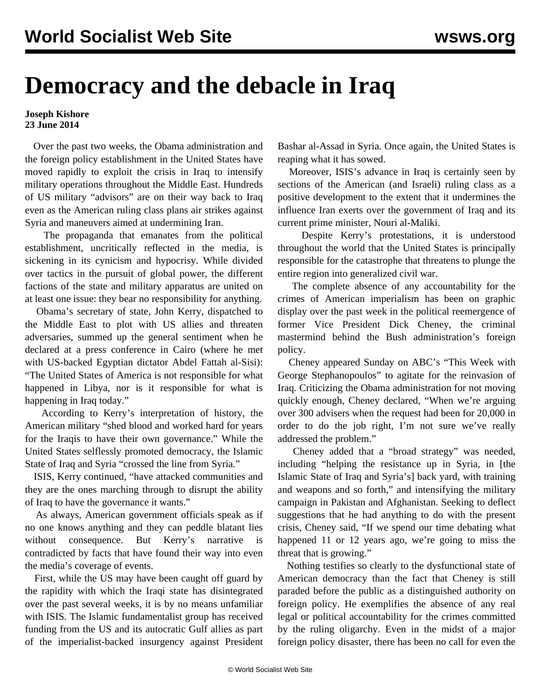## **Democracy and the debacle in Iraq**

## **Joseph Kishore 23 June 2014**

 Over the past two weeks, the Obama administration and the foreign policy establishment in the United States have moved rapidly to exploit the crisis in Iraq to intensify military operations throughout the Middle East. Hundreds of US military "advisors" are on their way back to Iraq even as the American ruling class plans air strikes against Syria and maneuvers aimed at undermining Iran.

 The propaganda that emanates from the political establishment, uncritically reflected in the media, is sickening in its cynicism and hypocrisy. While divided over tactics in the pursuit of global power, the different factions of the state and military apparatus are united on at least one issue: they bear no responsibility for anything.

 Obama's secretary of state, John Kerry, dispatched to the Middle East to plot with US allies and threaten adversaries, summed up the general sentiment when he declared at a press conference in Cairo (where he met with US-backed Egyptian dictator Abdel Fattah al-Sisi): "The United States of America is not responsible for what happened in Libya, nor is it responsible for what is happening in Iraq today."

 According to Kerry's interpretation of history, the American military "shed blood and worked hard for years for the Iraqis to have their own governance." While the United States selflessly promoted democracy, the Islamic State of Iraq and Syria "crossed the line from Syria."

 ISIS, Kerry continued, "have attacked communities and they are the ones marching through to disrupt the ability of Iraq to have the governance it wants."

 As always, American government officials speak as if no one knows anything and they can peddle blatant lies without consequence. But Kerry's narrative is contradicted by facts that have found their way into even the media's coverage of events.

 First, while the US may have been caught off guard by the rapidity with which the Iraqi state has disintegrated over the past several weeks, it is by no means unfamiliar with ISIS. The Islamic fundamentalist group has received funding from the US and its autocratic Gulf allies as part of the imperialist-backed insurgency against President Bashar al-Assad in Syria. Once again, the United States is reaping what it has sowed.

 Moreover, ISIS's advance in Iraq is certainly seen by sections of the American (and Israeli) ruling class as a positive development to the extent that it undermines the influence Iran exerts over the government of Iraq and its current prime minister, Nouri al-Maliki.

 Despite Kerry's protestations, it is understood throughout the world that the United States is principally responsible for the catastrophe that threatens to plunge the entire region into generalized civil war.

 The complete absence of any accountability for the crimes of American imperialism has been on graphic display over the past week in the political reemergence of former Vice President Dick Cheney, the criminal mastermind behind the Bush administration's foreign policy.

 Cheney appeared Sunday on ABC's "This Week with George Stephanopoulos" to agitate for the reinvasion of Iraq. Criticizing the Obama administration for not moving quickly enough, Cheney declared, "When we're arguing over 300 advisers when the request had been for 20,000 in order to do the job right, I'm not sure we've really addressed the problem."

 Cheney added that a "broad strategy" was needed, including "helping the resistance up in Syria, in [the Islamic State of Iraq and Syria's] back yard, with training and weapons and so forth," and intensifying the military campaign in Pakistan and Afghanistan. Seeking to deflect suggestions that he had anything to do with the present crisis, Cheney said, "If we spend our time debating what happened 11 or 12 years ago, we're going to miss the threat that is growing."

 Nothing testifies so clearly to the dysfunctional state of American democracy than the fact that Cheney is still paraded before the public as a distinguished authority on foreign policy. He exemplifies the absence of any real legal or political accountability for the crimes committed by the ruling oligarchy. Even in the midst of a major foreign policy disaster, there has been no call for even the